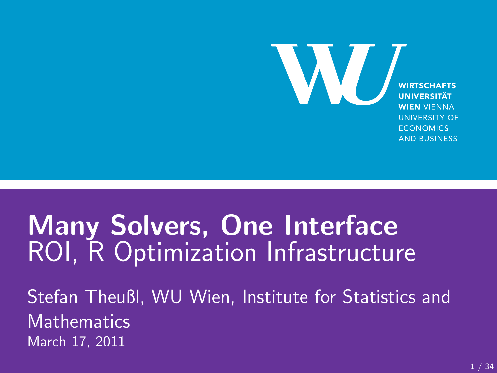W. **WIRTSCHAFTS UNIVERSITÄT WIEN VIFNNA UNIVERSITY OF ECONOMICS AND BUSINESS** 

### **Many Solvers, One Interface** ROI, R Optimization Infrastructure

Stefan Theußl, WU Wien, Institute for Statistics and **Mathematics** March 17, 2011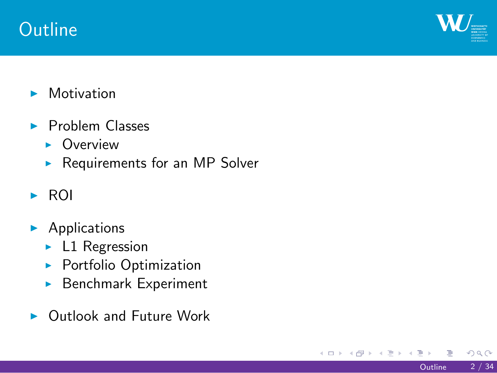### **Outline**

 $\mathbf{W}_{\square}$ 

- $\blacktriangleright$  Motivation
- $\blacktriangleright$  Problem Classes
	- $\triangleright$  Overview
	- $\blacktriangleright$  Requirements for an MP Solver
- $\triangleright$  ROI
- $\blacktriangleright$  Applications
	- $\blacktriangleright$  L1 Regression
	- $\blacktriangleright$  Portfolio Optimization
	- $\blacktriangleright$  Benchmark Experiment
- $\blacktriangleright$  Outlook and Future Work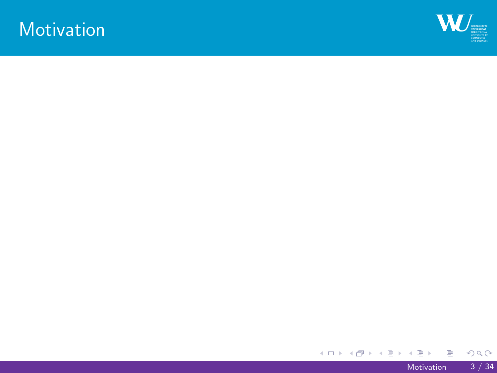**Motivation** 

 $W_{\equiv}$ 

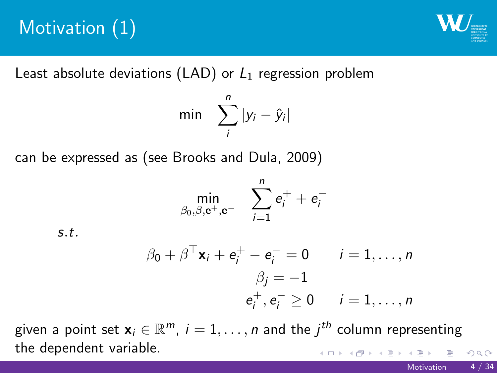## Motivation (1)

 $\mathbf{W}_{\blacksquare}$ 

Least absolute deviations (LAD) or *L*<sup>1</sup> regression problem

$$
\min \quad \sum_{i}^{n} |y_i - \hat{y}_i|
$$

can be expressed as (see Brooks and Dula, 2009)

$$
\min_{\beta_0,\beta,\mathbf{e}^+,\mathbf{e}^-} \quad \sum_{i=1}^n \mathbf{e}_i^+ + \mathbf{e}_i^-
$$

*s.t.*

$$
\beta_0 + \beta^{\top} \mathbf{x}_i + \mathbf{e}_i^+ - \mathbf{e}_i^- = 0 \qquad i = 1, \dots, n
$$

$$
\beta_j = -1
$$

$$
\mathbf{e}_i^+, \mathbf{e}_i^- \ge 0 \qquad i = 1, \dots, n
$$

.<br><u>- 4 미 > 4 레 ></u> 4 로 > 4 로 > - 로 - *이* ٩.<br>given a point set  $\mathbf{x}_i \in \mathbb{R}^m$ ,  $i = 1, \ldots, n$  and the  $j^{th}$  column representing the dependent variable.

Motivation 4 / 34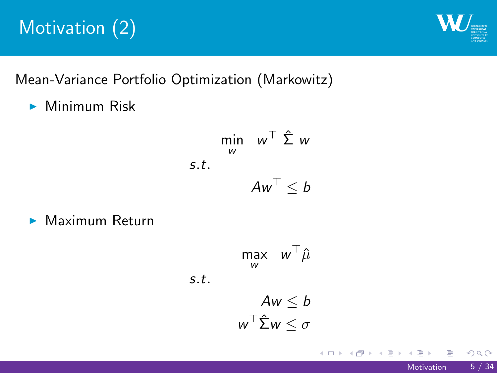## Motivation (2)

 $W_{\equiv}$ 

Mean-Variance Portfolio Optimization (Markowitz)

 $\blacktriangleright$  Minimum Risk

$$
\begin{aligned}\n\min_{\mathbf{w}} \quad & \mathbf{w}^{\top} \, \hat{\boldsymbol{\Sigma}} \, \mathbf{w} \\
\text{s.t.} \quad & \mathbf{A} \mathbf{w}^{\top} \leq b\n\end{aligned}
$$

 $\blacktriangleright$  Maximum Return

$$
\max_{w} w^{\top} \hat{\mu}
$$
  
s.t.  

$$
Aw \leq b
$$

$$
w^{\top} \hat{\Sigma} w \leq \sigma
$$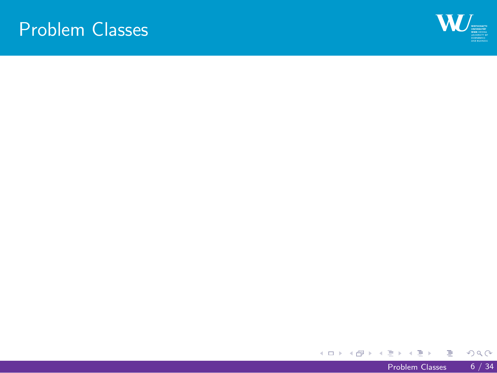Problem Classes

 $\mathbf{W}_{\parallel}$ 

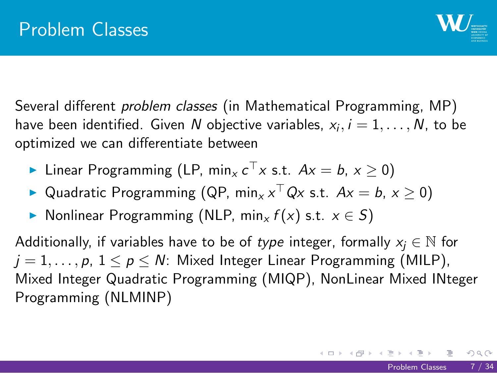#### Problem Classes

## $W_{\equiv}$

Several different *problem classes* (in Mathematical Programming, MP) have been identified. Given  $N$  objective variables,  $x_i, i = 1, \ldots, N$ , to be optimized we can differentiate between

- ▶ Linear Programming (LP, min<sub>*x*</sub> *c*<sup> $₁$ </sup> *x* s.t. *Ax* = *b*, *x* ≥ 0)
- ▶ Quadratic Programming (QP, min<sub>*x*</sub>  $x$ <sup> $\mid$ </sup> Q*x* s.t. *Ax* = *b*, *x*  $\ge$  0)
- <sup>I</sup> Nonlinear Programming (NLP, min*<sup>x</sup> f* (*x*) s.t. *x ∈ S*)

Additionally, if variables have to be of *type* integer, formally  $x_j \in \mathbb{N}$  for  $j = 1, \ldots, p, 1 \le p \le N$ : Mixed Integer Linear Programming (MILP), Mixed Integer Quadratic Programming (MIQP), NonLinear Mixed INteger Programming (NLMINP)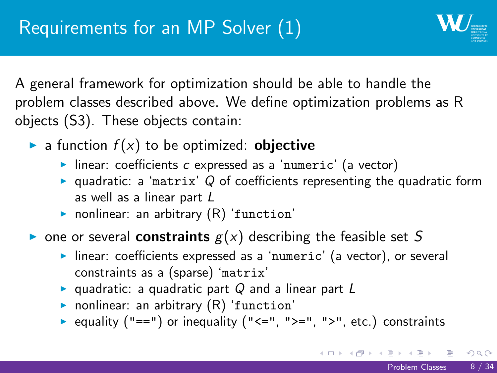#### Requirements for an MP Solver (1)

 $\mathbf{W}_{-}$ 

A general framework for optimization should be able to handle the problem classes described above. We define optimization problems as R objects (S3). These objects contain:

- $\blacktriangleright$  a function  $f(x)$  to be optimized: **objective** 
	- ▶ linear: coefficients *c* expressed as a 'numeric' (a vector)
	- ▶ quadratic: a 'matrix' *Q* of coefficients representing the quadratic form as well as a linear part *L*
	- $\blacktriangleright$  nonlinear: an arbitrary  $(R)$  'function'
- $\triangleright$  one or several **constraints**  $g(x)$  describing the feasible set *S* 
	- Inear: coefficients expressed as a 'numeric' (a vector), or several constraints as a (sparse) 'matrix'
	- <sup>I</sup> quadratic: a quadratic part *Q* and a linear part *L*
	- $\blacktriangleright$  nonlinear: an arbitrary  $(R)$  'function'
	- equality ("==") or inequality ("<=", ">=", ">", etc.) constraints

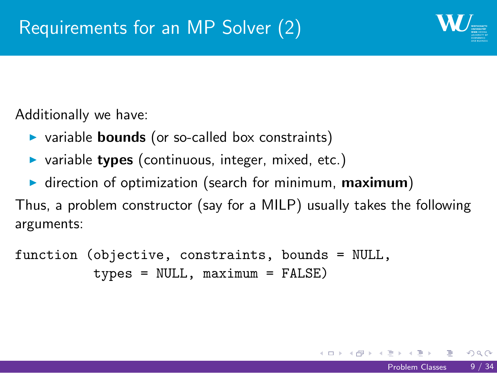### Requirements for an MP Solver (2)

 $W_{\equiv}$ 

Additionally we have:

- **D** variable **bounds** (or so-called box constraints)
- **Exercise is variable types** (continuous, integer, mixed, etc.)
- **I** direction of optimization (search for minimum, maximum)

Thus, a problem constructor (say for a MILP) usually takes the following arguments:

```
function (objective, constraints, bounds = NULL,
          types = NULL, maximum = FALSE)
```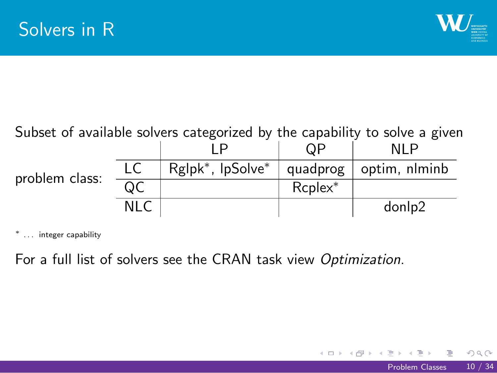## Solvers in R

 $\mathbf{W}_{\square}$ 

| Subset of available solvers categorized by the capability to solve a given |      |                                           |            |               |  |  |
|----------------------------------------------------------------------------|------|-------------------------------------------|------------|---------------|--|--|
|                                                                            |      |                                           | ΩP         | NI P          |  |  |
| problem class:                                                             | LC   | Rglpk <sup>*</sup> , lpSolve <sup>*</sup> | quadprog   | optim, nlminb |  |  |
|                                                                            | QC   |                                           | $Replex^*$ |               |  |  |
|                                                                            | NI C |                                           |            | donlp2        |  |  |

*∗* . . . integer capability

For a full list of solvers see the CRAN task view *Optimization*.

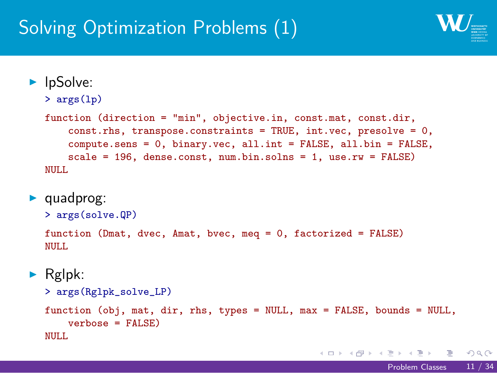### Solving Optimization Problems (1)

 $\mathbf{W}_{\pm}$ 

```
\mathbf{1}_{\{a,b\}} \leftarrow \mathbf{1}_{\{a,b\}} \leftarrow \mathbf{1}_{\{a,b\}} \leftarrow \mathbf{1}_{\{a,b\}} \leftarrow \mathbf{1}_{\{a,b\}} \leftarrow \mathbf{1}_{\{a,b\}} \leftarrow \mathbf{1}_{\{a,b\}} \leftarrow \mathbf{1}_{\{a,b\}} \leftarrow \mathbf{1}_{\{a,b\}} \leftarrow \mathbf{1}_{\{a,b\}} \leftarrow \mathbf{1}_{\{a,b\}} \leftarrow \mathbf{1}_{\{a,b\}} \leftarrow \mathbf{1}_{\{a,b\}} \leftarrow \mathbf{1}_{\{a,b\}} \leftarrow \mathbf{1}_{\{a,b\blacktriangleright lpSolve:
     > args(lp)
     function (direction = "min", objective.in, const.mat, const.dir,
            const.rhs, transpose.constraints = TRUE, int.vec, presolve = 0,
            compute.sens = 0, binary.vec, all.int = FALSE, all.bin = FALSE,
            scale = 196, dense.const, num.bin.solns = 1, use.rw = FALSE)
     NULL
\blacktriangleright quadprog:
     > args(solve.QP)
     function (Dmat, dvec, Amat, bvec, meq = 0, factorized = FALSE)
     NULL
\blacktriangleright Rglpk:
     > args(Rglpk_solve_LP)
     function (obj, mat, dir, rhs, types = NULL, max = FALSE, bounds = NULL,
            verbose = FALSE)
     NULL
```
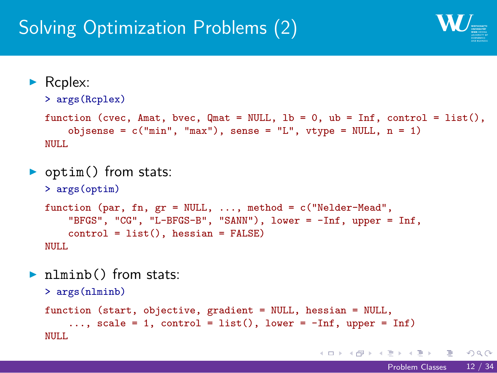#### Solving Optimization Problems (2)

W

```
\mathbf{1}_{\{a,b\} \setminus \{a,b\} \setminus \{a,b\} \setminus \{a,b\} \setminus \{a,b\} \setminus \{a,b\} \setminus \{a,b\} \setminus \{a,b\} \setminus \{a,b\} \setminus \{a,b\} \setminus \{a,b\} \setminus \{a,b\} \setminus \{a,b\} \setminus \{a,b\} \setminus \{a,b\} \setminus \{a,b\} \setminus \{a,b\} \setminus \{a,b\} \setminus \{a,b\} \setminus \{a,b\} \setminus \{a,b\} \setminus \{a,b\} \setminus \{a,b\} \setminus \{a,b\} \\blacktriangleright Rcplex:
    > args(Rcplex)
    function (cvec, Amat, bvec, Qmat = NULL, lb = 0, ub = Inf, control = list(),
         objsense = c("min", "max"), sense = "L", vtype = NULL, n = 1)
    NULL
• optim() from stats:
    > args(optim)
     function (par, fn, gr = NULL, ..., method = c("Nelder-Mead",
            "BFGS", "CG", "L-BFGS-B", "SANN"), lower = -Inf, upper = Inf,
           control = list(), hessian = FALSE)
    NULL
Inlminb() from stats:
    > args(nlminb)
    function (start, objective, gradient = NULL, hessian = NULL,
           ..., scale = 1, control = list(), lower = -Inf, upper = Inf)
    NULL
                                                                                                         Problem Classes 12 / 34
```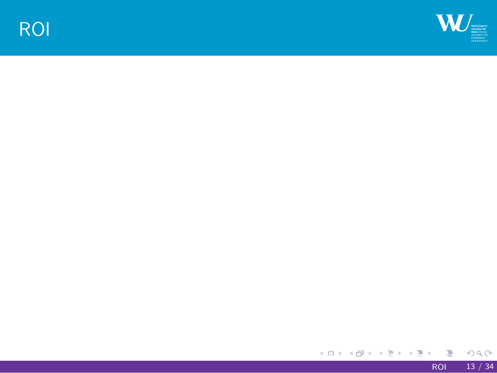

 $\mathbf{W}_{\parallel}$ 

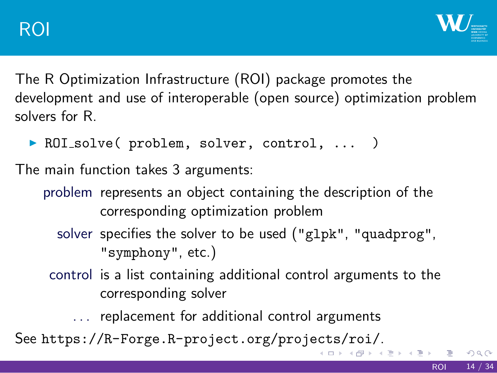#### ROI

## $\mathbf{W}_{\equiv}$

The R Optimization Infrastructure (ROI) package promotes the development and use of interoperable (open source) optimization problem solvers for R.

▶ ROI\_solve( problem, solver, control, ... )

The main function takes 3 arguments:

- problem represents an object containing the description of the corresponding optimization problem
	- solver specifies the solver to be used ("glpk", "quadprog", "symphony", etc.)
- control is a list containing additional control arguments to the corresponding solver
	- . . . replacement for additional control arguments

See https://R-Forge.R-project.org/projects/roi/.

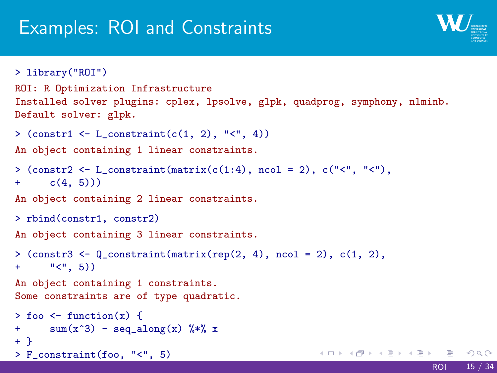#### Examples: ROI and Constraints

 $W_{\equiv}$ 

```
. . . . . .
> library("ROI")
ROI: R Optimization Infrastructure
Installed solver plugins: cplex, lpsolve, glpk, quadprog, symphony, nlminb.
Default solver: glpk.
> (constr1 \leftarrow L_constraint(c(1, 2), "\leftarrow", 4))
An object containing 1 linear constraints.
>\, (constr2 <- L_constraint(matrix(c(1:4), ncol = 2), c("<", "<"),
+ c(4, 5))An object containing 2 linear constraints.
> rbind(constr1, constr2)
An object containing 3 linear constraints.
> (constr3 <- Q_{constant}(matrix(rep(2, 4), ncol = 2), c(1, 2),
+ " (", 5))
An object containing 1 constraints.
Some constraints are of type quadratic.
> foo \leftarrow function(x) {
+ sum(x^3) - seq\_along(x) % x
+ }
> F_constraint(foo, "<", 5)
                                                                      ROI 15 / 34
```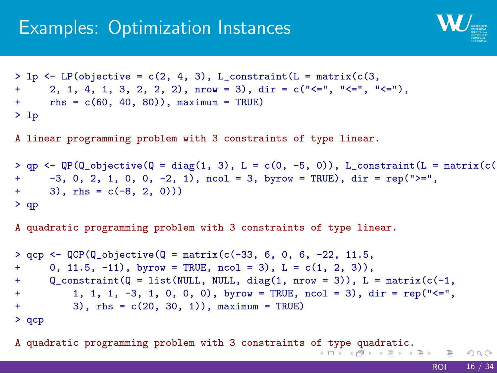#### Examples: Optimization Instances

 $\mathbf{W}_{\equiv}$ 

```
A quadratic programming problem with 3 constraints of type quadratic.<br>A dependence of type \exists and \exists and \exists and \exists and \exists and \exists and \exists and \exists and \exists and \exists and \exists and \exists and \exists and \exists and \exists 
 > lp <- LP(objective = c(2, 4, 3), L_constraint(L = matrix(c(3,
 + 2, 1, 4, 1, 3, 2, 2, 2), nrow = 3), dir = c("<=", "<=", "<="),
+ rhs = c(60, 40, 80)), maximum = TRUE)
> lp
A linear programming problem with 3 constraints of type linear.
> qp <- QP(Q_objective(Q = diag(1, 3), L = c(0, -5, 0)), L_constraint(L = matrix(c(-4, -3, 0, 2, 1, 0, 0, -2, 1), ncol = 3, byrow = TRUE), dir = rep(">=",
        -3, 0, 2, 1, 0, 0, -2, 1), ncol = 3, byrow = TRUE), dir = rep(">=",
+ 3), rhs = c(-8, 2, 0))> qp
A quadratic programming problem with 3 constraints of type linear.
> qcp <- QCP(Q_0b)jective(Q = matrix(c(-33, 6, 0, 6, -22, 11.5,+ 0, 11.5, -11), byrow = TRUE, ncol = 3), L = c(1, 2, 3)),<br>+ 0 constraint (0 = list (NULL NULL diag(1 nrow = 3)) L =
        \mathbb{Q}_\text{constraint}(\mathbb{Q} = \text{list}(\texttt{NULL}, \texttt{NULL}, \texttt{diag}(1, \texttt{now} = 3)), \ \mathbb{L} = \texttt{matrix}(c(-1,+ 1, 1, 1, -3, 1, 0, 0, 0), byrow = TRUE, ncol = 3), dir = rep("<=",
+ 3), rhs = c(20, 30, 1)), maximum = TRUE)
> qcp
```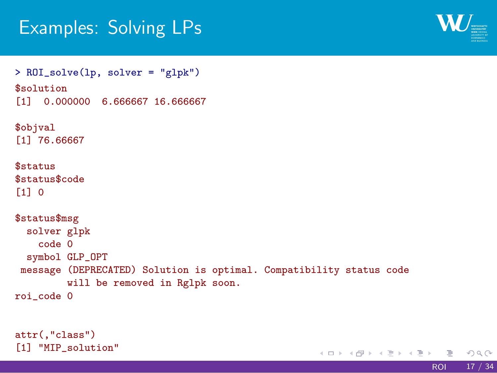### Examples: Solving LPs

 $\mathbf{W}_{\square}$ 



attr(,"class") [1] "MIP\_solution"

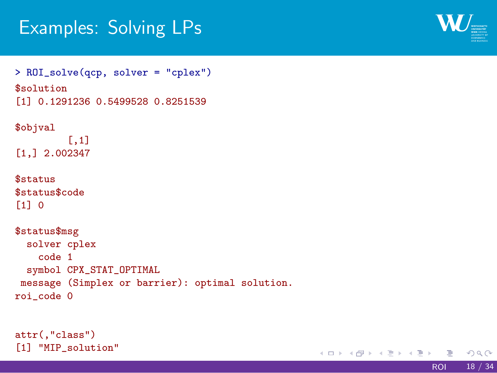### Examples: Solving LPs

> ROI\_solve(qcp, solver = "cplex")

 $\mathbf{W}_{\blacksquare}$ 

\$solution [1] 0.1291236 0.5499528 0.8251539 \$objval [,1] [1,] 2.002347 \$status \$status\$code [1] 0 \$status\$msg solver cplex code 1 symbol CPX\_STAT\_OPTIMAL message (Simplex or barrier): optimal solution. roi\_code 0

attr(,"class") [1] "MIP\_solution"

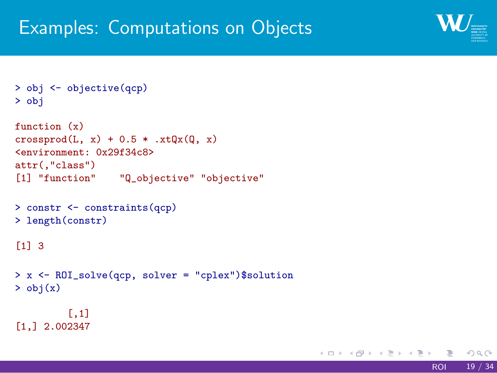#### Examples: Computations on Objects



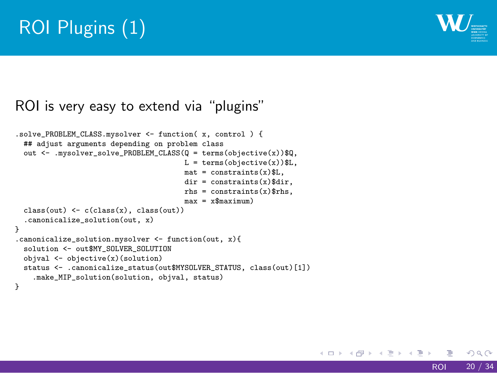### ROI Plugins (1)



.solve\_PROBLEM\_CLASS.mysolver <- function( x, control ) {<br>
## adjust arguments depending on problem class<br>
out <- .mysolver\_solve\_PROBLEM\_CLASS(Q = terms(objective(x))\$Q,<br>
out <- .mysolver\_solve\_PROBLEM\_CLASS(Q = terms(obj  $class(out) \leftarrow c(class(x), class(out))$ .canonicalize\_solution(out, x) } .canonicalize\_solution.mysolver <- function(out, x){

ROI is very easy to extend via "plugins"

solution <- out\$MY\_SOLVER\_SOLUTION<br>objval <- objective(x)(solution)<br>status <- .canonicalize\_status(out\$MYSOLVER\_STATUS, class(out)[1])

.make\_MIP\_solution(solution, objval, status) }

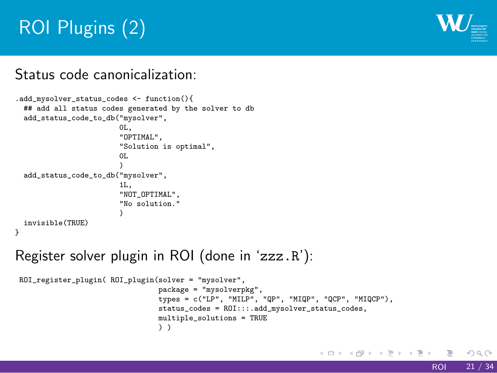### ROI Plugins (2)

 $W_{\equiv}$ 

#### Status code canonicalization:

.add\_mysolver\_status\_codes <- function(){ ## add all status codes generated by the solver to db add\_status\_code\_to\_db("mysolver",  $0<sub>L</sub>$ , "OPTIMAL", "Solution is optimal", 0L ) add\_status\_code\_to\_db("mysolver", 1L, "NOT\_OPTIMAL", "No solution."  $\lambda$ invisible(TRUE) }

Register solver plugin in ROI (done in 'zzz.R'):

ROI\_register\_plugin( ROI\_plugin(solver = "mysolver",<br>package = "mysolverpkg",<br>types = c("LP", "MILP", "QP", "MIQP", "QCP", "MIQCP"),<br>status\_codes = ROI:::.add\_mysolver\_status\_codes,<br>multiple\_solutions = TRUE ) )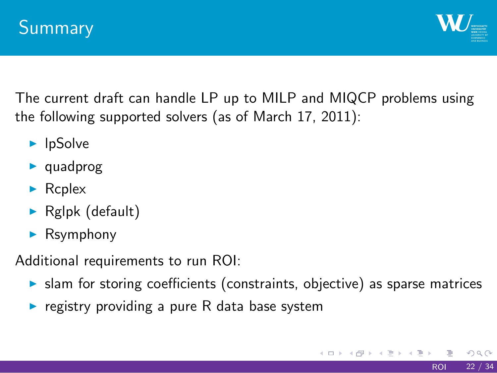#### Summary

## $W_{\equiv}$

The current draft can handle LP up to MILP and MIQCP problems using the following supported solvers (as of March 17, 2011):

- $\blacktriangleright$  lpSolve
- $\blacktriangleright$  quadprog
- $\blacktriangleright$  Rcplex
- $\blacktriangleright$  Rglpk (default)
- $\blacktriangleright$  Rsymphony

Additional requirements to run ROI:

- $\blacktriangleright$  slam for storing coefficients (constraints, objective) as sparse matrices
- $\blacktriangleright$  registry providing a pure R data base system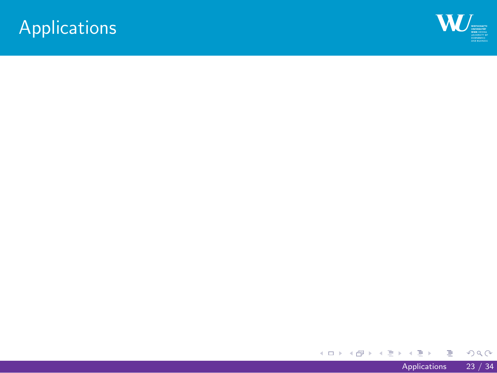Applications

 $\mathbf{W}_{\square}$ 

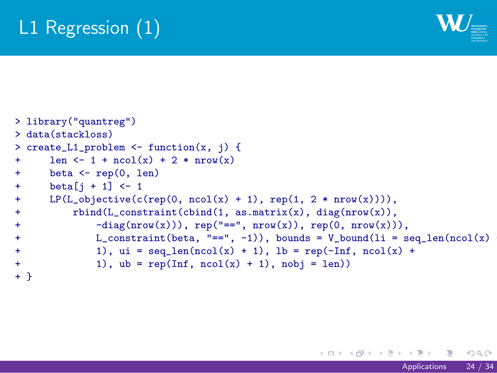### L1 Regression (1)

> library("quantreg")

 $\mathbf{W}_{\blacksquare}$ 

> data(stackloss) > create\_L1\_problem <- function(x, j) {<br>+ len <- 1 + ncol(x) + 2 \* nrow(x)  $len \leftarrow 1 + ncol(x) + 2 * nrow(x)$ + beta <- rep(0, len) +  $beta[j + 1] \leftarrow 1$ <br>+  $LP(L\_objective(c))$ + LP(L\_objective(c(rep(0, ncol(x) + 1), rep(1, 2 \* nrow(x)))),<br>+ rbind(L\_constraint(cbind(1, as.matrix(x), diag(nrow(x)),  $r$ bind(L\_constraint(cbind(1, as.matrix(x), diag(nrow(x)), + -diag(nrow(x))), rep("==", nrow(x)), rep(0, nrow(x))), + L\_constraint(beta, "==", -1)), bounds = V\_bound(li = seq\_len(ncol(x) + + 1), ui = seq\_len(ncol(x) + 1), lb = rep(-Inf, ncol(x) + + 1), ub = rep(Inf, ncol(x) + 1), nobj = len)) + }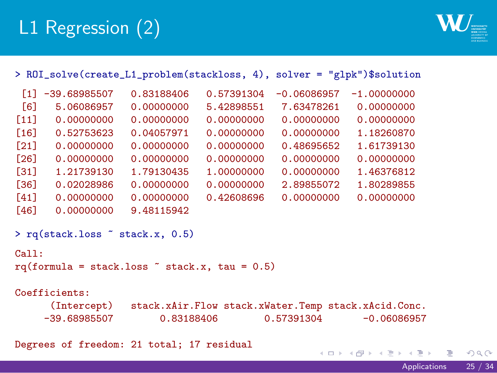## L1 Regression (2)

 $W_{\equiv}$ 

|        |                                                 |            |            |               | > ROI_solve(create_L1_problem(stackloss, 4), solver = "glpk")\$solution |         |
|--------|-------------------------------------------------|------------|------------|---------------|-------------------------------------------------------------------------|---------|
|        | $\lceil 1 \rceil$ -39.68985507                  | 0.83188406 | 0.57391304 | $-0.06086957$ | $-1.00000000$                                                           |         |
| [6]    | 5.06086957                                      | 0.00000000 | 5.42898551 | 7.63478261    | 0.00000000                                                              |         |
| $[11]$ | 0.00000000                                      | 0.00000000 | 0.00000000 | 0.00000000    | 0.00000000                                                              |         |
| $[16]$ | 0.52753623                                      | 0.04057971 | 0.00000000 | 0.00000000    | 1.18260870                                                              |         |
| $[21]$ | 0.00000000                                      | 0.00000000 | 0.00000000 | 0.48695652    | 1.61739130                                                              |         |
| [26]   | 0.00000000                                      | 0.00000000 | 0.00000000 | 0.00000000    | 0.00000000                                                              |         |
| $[31]$ | 1.21739130                                      | 1.79130435 | 1,00000000 | 0.00000000    | 1.46376812                                                              |         |
| [36]   | 0.02028986                                      | 0.00000000 | 0.00000000 | 2.89855072    | 1.80289855                                                              |         |
| $[41]$ | 0.00000000                                      | 0.00000000 | 0.42608696 | 0.00000000    | 0.00000000                                                              |         |
| [46]   | 0.00000000                                      | 9.48115942 |            |               |                                                                         |         |
|        | $>$ rq(stack.loss $\tilde{ }$ stack.x, 0.5)     |            |            |               |                                                                         |         |
| Call:  |                                                 |            |            |               |                                                                         |         |
|        | $rq(formula = stack.loss$ * stack.x, tau = 0.5) |            |            |               |                                                                         |         |
|        |                                                 |            |            |               |                                                                         |         |
|        | Coefficients:                                   |            |            |               |                                                                         |         |
|        | (Intercept)                                     |            |            |               | stack.xAir.Flow stack.xWater.Temp stack.xAcid.Conc.                     |         |
|        | $-39.68985507$                                  | 0.83188406 |            | 0.57391304    | $-0.06086957$                                                           |         |
|        |                                                 |            |            |               |                                                                         |         |
|        | Degrees of freedom: 21 total; 17 residual       |            |            |               |                                                                         |         |
|        |                                                 |            |            |               | イロン イ押ン イヨン イヨン 一重。                                                     | 298     |
|        |                                                 |            |            |               | Applications                                                            | 25 / 34 |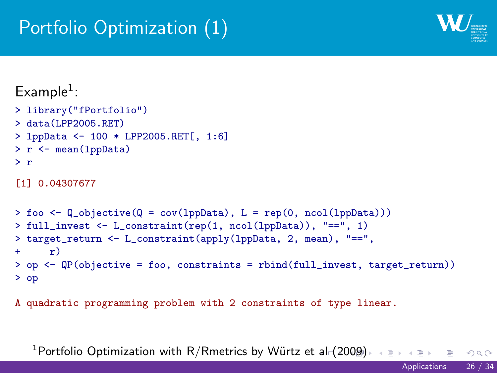#### Portfolio Optimization (1)

 $W_{\equiv}$ 

 $Example<sup>1</sup>$ : > library("fPortfolio") > data(LPP2005.RET) > lppData <- 100 \* LPP2005.RET[, 1:6] > r <- mean(lppData) > r [1] 0.04307677 > foo <- Q\_objective(Q = cov(lppData), L = rep(0, ncol(lppData))) > full\_invest <- L\_constraint(rep(1, ncol(lppData)), "==", 1) > target\_return <- L\_constraint(apply(lppData, 2, mean), "==", +  $r$ )  $\mathbf{r}$ ) > op <- QP(objective = foo, constraints = rbind(full\_invest, target\_return)) > op A quadratic programming problem with 2 constraints of type linear.

 $^1$ Portfolio Optimization with R/Rmetrics by Würtz et al $\leqslant$  2009)  $\rightarrow$  4 aprile and  $\rightarrow$  3 and 3  $\rightarrow$ Applications 26 / 34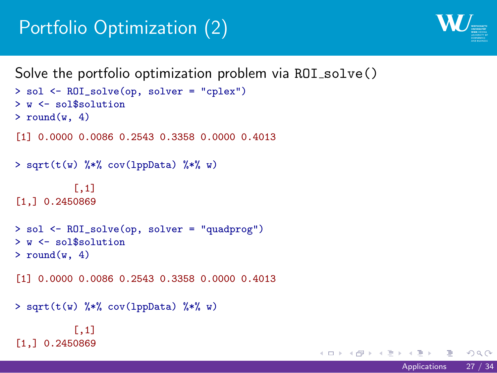### Portfolio Optimization (2)

 $W_{\equiv}$ 

```
Solve the portfolio optimization problem via ROI_solve()
> sol <- ROI_solve(op, solver = "cplex")
> w <- sol$solution
> round(w, 4)
[1] 0.0000 0.0086 0.2543 0.3358 0.0000 0.4013
> sqrt(t(w) \mathcal{N}\ast\mathcal{N} cov(1ppData) \mathcal{N}\ast\mathcal{N} w)
            [,1]
[1,] 0.2450869
> sol <- ROI_solve(op, solver = "quadprog")
> w <- sol$solution
> round(w, 4)
[1] 0.0000 0.0086 0.2543 0.3358 0.0000 0.4013
> sqrt(t(w) \frac{1}{2} /*, cov(1ppData) \frac{1}{2} /*, w)
           [,1]
[1,] 0.2450869
```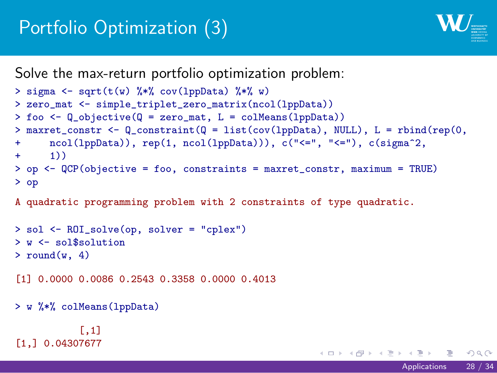#### Portfolio Optimization (3)

 $\mathbf{W}_{\text{max}}$ 

Applications 28 / 34

Solve the max-return portfolio optimization problem:

```
. . . . . .
> sigma <- sqrt(t(w) %*% cov(lppData) %*% w)
> zero_mat <- simple_triplet_zero_matrix(ncol(lppData))
> foo <- Q_objective(Q = zero_mat, L = colMeans(lppData))
> maxret_constr <- Q_constraint(Q = list(cov(lppData), NULL), L = rbind(rep(0,
+ ncol(lppData)), rep(1, ncol(lppData))), c("<=", "<="), c(sigma^2,
+ 1))
> op <- QCP(objective = foo, constraints = maxret_constr, maximum = TRUE)
> op
A quadratic programming problem with 2 constraints of type quadratic.
> sol <- ROI_solve(op, solver = "cplex")
> w <- sol$solution
> round(w, 4)
[1] 0.0000 0.0086 0.2543 0.3358 0.0000 0.4013
> w %*% colMeans(lppData)
          [,1]
[1,] 0.04307677
```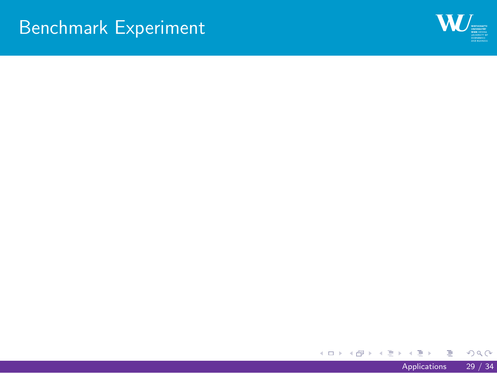Benchmark Experiment

 $W_{\equiv}$ 

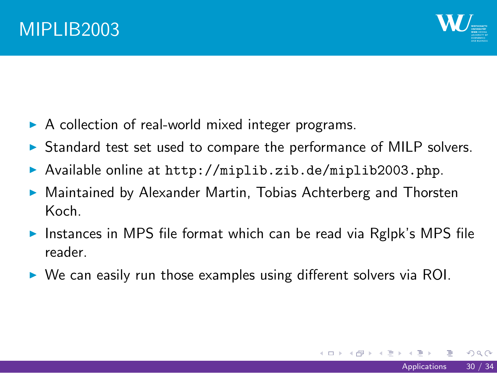#### MIPLIB2003

# $\mathbf{W}_{\text{max}}$

- $\triangleright$  A collection of real-world mixed integer programs.
- $\triangleright$  Standard test set used to compare the performance of MILP solvers.
- Available online at http://miplib.zib.de/miplib2003.php.
- $\blacktriangleright$  Maintained by Alexander Martin, Tobias Achterberg and Thorsten Koch.
- Instances in MPS file format which can be read via Rglpk's MPS file reader.
- $\triangleright$  We can easily run those examples using different solvers via ROI.

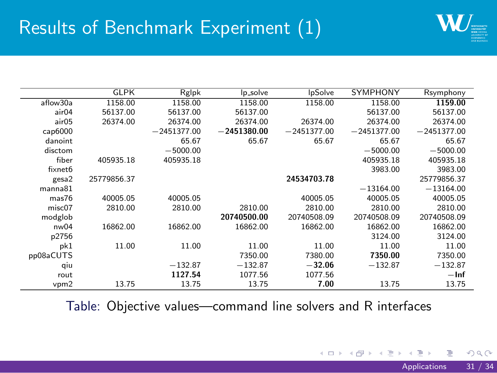## Results of Benchmark Experiment (1)

 $\mathbf{W}_{\square}$ 

|                  | <b>GLPK</b> | Rglpk         | lp_solve      | IpSolve       | <b>SYMPHONY</b> | Rsymphony     |
|------------------|-------------|---------------|---------------|---------------|-----------------|---------------|
| aflow30a         | 1158.00     | 1158.00       | 1158.00       | 1158.00       | 1158.00         | 1159.00       |
| air04            | 56137.00    | 56137.00      | 56137.00      |               | 56137.00        | 56137.00      |
| air05            | 26374.00    | 26374.00      | 26374.00      | 26374.00      | 26374.00        | 26374.00      |
| cap6000          |             | $-2451377.00$ | $-2451380.00$ | $-2451377.00$ | $-2451377.00$   | $-2451377.00$ |
| danoint          |             | 65.67         | 65.67         | 65.67         | 65.67           | 65.67         |
| disctom          |             | $-5000.00$    |               |               | $-5000.00$      | $-5000.00$    |
| fiber            | 405935.18   | 405935.18     |               |               | 405935.18       | 405935.18     |
| fixnet6          |             |               |               |               | 3983.00         | 3983.00       |
| gesa2            | 25779856.37 |               |               | 24534703.78   |                 | 25779856.37   |
| manna81          |             |               |               |               | $-13164.00$     | $-13164.00$   |
| mas76            | 40005.05    | 40005.05      |               | 40005.05      | 40005.05        | 40005.05      |
| misc07           | 2810.00     | 2810.00       | 2810.00       | 2810.00       | 2810.00         | 2810.00       |
| modglob          |             |               | 20740500.00   | 20740508.09   | 20740508.09     | 20740508.09   |
| nw <sub>04</sub> | 16862.00    | 16862.00      | 16862.00      | 16862.00      | 16862.00        | 16862.00      |
| p2756            |             |               |               |               | 3124.00         | 3124.00       |
| pk1              | 11.00       | 11.00         | 11.00         | 11.00         | 11.00           | 11.00         |
| pp08aCUTS        |             |               | 7350.00       | 7380.00       | 7350.00         | 7350.00       |
| qiu              |             | $-132.87$     | $-132.87$     | $-32.06$      | $-132.87$       | $-132.87$     |
| rout             |             | 1127.54       | 1077.56       | 1077.56       |                 | $-\ln f$      |
| vpm2             | 13.75       | 13.75         | 13.75         | 7.00          | 13.75           | 13.75         |

Table: Objective values—command line solvers and R interfaces

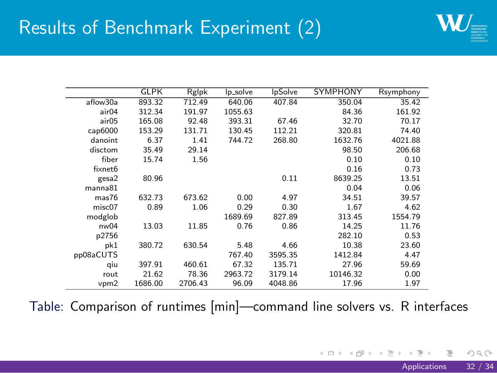## Results of Benchmark Experiment (2)

 $\mathbf{W}_{\square}$ 

|                  | <b>GLPK</b> | Rglpk   | lp_solve | IpSolve | <b>SYMPHONY</b> | Rsymphony |
|------------------|-------------|---------|----------|---------|-----------------|-----------|
| aflow30a         | 893.32      | 712.49  | 640.06   | 407.84  | 350.04          | 35.42     |
| air04            | 312.34      | 191.97  | 1055.63  |         | 84.36           | 161.92    |
| air05            | 165.08      | 92.48   | 393.31   | 67.46   | 32.70           | 70.17     |
| cap6000          | 153.29      | 131.71  | 130.45   | 112.21  | 320.81          | 74.40     |
| danoint          | 6.37        | 1.41    | 744.72   | 268.80  | 1632.76         | 4021.88   |
| disctom          | 35.49       | 29.14   |          |         | 98.50           | 206.68    |
| fiber            | 15.74       | 1.56    |          |         | 0.10            | 0.10      |
| fixnet6          |             |         |          |         | 0.16            | 0.73      |
| gesa2            | 80.96       |         |          | 0.11    | 8639.25         | 13.51     |
| manna81          |             |         |          |         | 0.04            | 0.06      |
| mas76            | 632.73      | 673.62  | 0.00     | 4.97    | 34.51           | 39.57     |
| misc07           | 0.89        | 1.06    | 0.29     | 0.30    | 1.67            | 4.62      |
| modglob          |             |         | 1689.69  | 827.89  | 313.45          | 1554.79   |
| nw <sub>04</sub> | 13.03       | 11.85   | 0.76     | 0.86    | 14.25           | 11.76     |
| p2756            |             |         |          |         | 282.10          | 0.53      |
| pk1              | 380.72      | 630.54  | 5.48     | 4.66    | 10.38           | 23.60     |
| pp08aCUTS        |             |         | 767.40   | 3595.35 | 1412.84         | 4.47      |
| qiu              | 397.91      | 460.61  | 67.32    | 135.71  | 27.96           | 59.69     |
| rout             | 21.62       | 78.36   | 2963.72  | 3179.14 | 10146.32        | 0.00      |
| vpm2             | 1686.00     | 2706.43 | 96.09    | 4048.86 | 17.96           | 1.97      |

Table: Comparison of runtimes [min]—command line solvers vs. R interfaces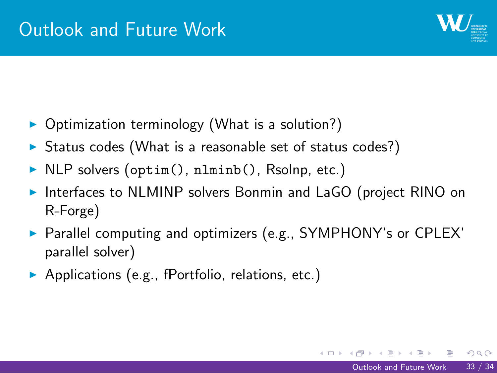#### Outlook and Future Work

 $W_{\equiv}$ 

- $\triangleright$  Optimization terminology (What is a solution?)
- $\triangleright$  Status codes (What is a reasonable set of status codes?)
- In NLP solvers (optim(), nlminb(), Rsolnp, etc.)
- Interfaces to NLMINP solvers Bonmin and LaGO (project RINO on R-Forge)
- Parallel computing and optimizers (e.g., SYMPHONY's or CPLEX' parallel solver)
- $\blacktriangleright$  Applications (e.g., fPortfolio, relations, etc.)